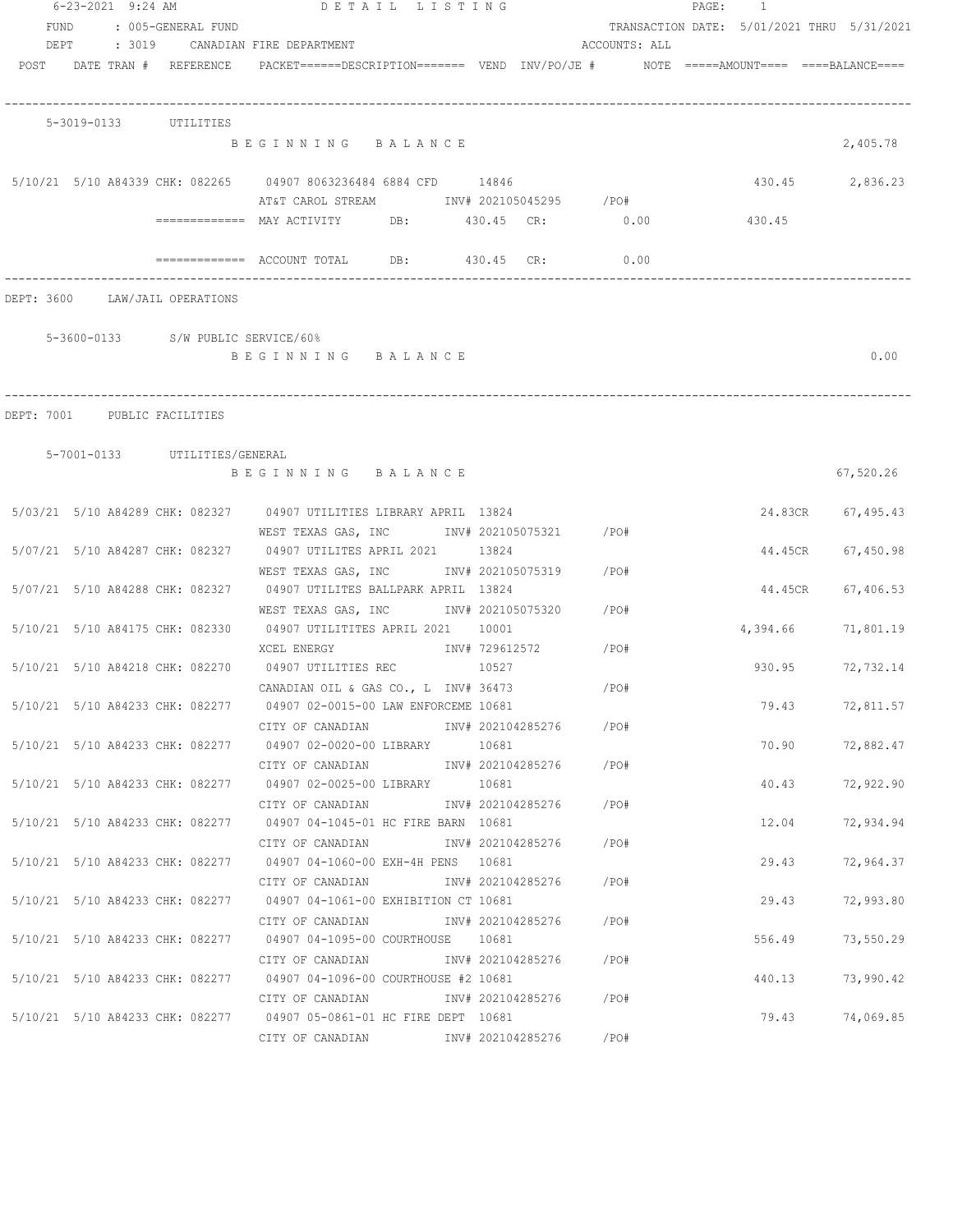|      | 6-23-2021 9:24 AM              |                                    | PAGE: 1<br>DETAIL LISTING                                                                                           |                      |
|------|--------------------------------|------------------------------------|---------------------------------------------------------------------------------------------------------------------|----------------------|
| FUND |                                | : 005-GENERAL FUND                 | TRANSACTION DATE: 5/01/2021 THRU 5/31/2021                                                                          |                      |
| DEPT |                                |                                    | : 3019 CANADIAN FIRE DEPARTMENT<br>ACCOUNTS: ALL                                                                    |                      |
|      | POST DATE TRAN # REFERENCE     |                                    | PACKET======DESCRIPTION========  VEND  INV/PO/JE #         NOTE  =====AMOUNT====  ====BALANCE====                   |                      |
|      | 5-3019-0133 UTILITIES          |                                    |                                                                                                                     |                      |
|      |                                |                                    | BEGINNING BALANCE                                                                                                   | 2,405.78             |
|      |                                |                                    | 5/10/21 5/10 A84339 CHK: 082265 04907 8063236484 6884 CFD 14846                                                     | 430.45 2,836.23      |
|      |                                |                                    | AT&T CAROL STREAM TNV# 202105045295 / PO#                                                                           |                      |
|      |                                |                                    | 430.45<br>============ MAY ACTIVITY DB: 430.45 CR: 0.00                                                             |                      |
|      |                                |                                    | ============ ACCOUNT TOTAL DB: 430.45 CR: 0.00                                                                      |                      |
|      | DEPT: 3600 LAW/JAIL OPERATIONS |                                    |                                                                                                                     |                      |
|      |                                | 5-3600-0133 S/W PUBLIC SERVICE/60% |                                                                                                                     |                      |
|      |                                |                                    | BEGINNING BALANCE                                                                                                   | 0.00                 |
|      |                                |                                    |                                                                                                                     |                      |
|      | DEPT: 7001 PUBLIC FACILITIES   |                                    |                                                                                                                     |                      |
|      |                                | 5-7001-0133 UTILITIES/GENERAL      |                                                                                                                     |                      |
|      |                                |                                    | BEGINNING BALANCE                                                                                                   | 67,520.26            |
|      |                                |                                    | 5/03/21 5/10 A84289 CHK: 082327 04907 UTILITIES LIBRARY APRIL 13824                                                 | 24.83CR 67,495.43    |
|      |                                |                                    | WEST TEXAS GAS, INC       INV# 202105075321     /PO#                                                                |                      |
|      |                                |                                    | 5/07/21 5/10 A84287 CHK: 082327 04907 UTILITES APRIL 2021 13824                                                     | 44.45CR 67,450.98    |
|      |                                |                                    | WEST TEXAS GAS, INC        INV# 202105075319     /PO#                                                               |                      |
|      |                                |                                    | 5/07/21 5/10 A84288 CHK: 082327 04907 UTILITES BALLPARK APRIL 13824<br>WEST TEXAS GAS, INC MOV# 202105075320 / PO#  | 44.45CR<br>67,406.53 |
|      |                                |                                    | 5/10/21 5/10 A84175 CHK: 082330 04907 UTILITITES APRIL 2021 10001                                                   | 4,394.66 71,801.19   |
|      |                                |                                    | XCEL ENERGY 1NV# 729612572 / PO#                                                                                    |                      |
|      |                                |                                    | 5/10/21 5/10 A84218 CHK: 082270 04907 UTILITIES REC 10527                                                           | 930.95<br>72,732.14  |
|      |                                |                                    | / PO#<br>CANADIAN OIL & GAS CO., L INV# 36473                                                                       |                      |
|      |                                |                                    | 5/10/21 5/10 A84233 CHK: 082277 04907 02-0015-00 LAW ENFORCEME 10681                                                | 79.43<br>72,811.57   |
|      |                                |                                    | / PO#<br>CITY OF CANADIAN<br>INV# 202104285276                                                                      |                      |
|      |                                |                                    | 5/10/21 5/10 A84233 CHK: 082277 04907 02-0020-00 LIBRARY 10681                                                      | 70.90<br>72,882.47   |
|      |                                |                                    | CITY OF CANADIAN<br>INV# 202104285276 /PO#                                                                          |                      |
|      |                                |                                    | 5/10/21 5/10 A84233 CHK: 082277 04907 02-0025-00 LIBRARY 10681                                                      | 40.43 72,922.90      |
|      |                                |                                    | CITY OF CANADIAN<br>INV# 202104285276 / PO#                                                                         |                      |
|      |                                |                                    | 5/10/21 5/10 A84233 CHK: 082277 04907 04-1045-01 HC FIRE BARN 10681                                                 | 12.04<br>72,934.94   |
|      |                                |                                    | CITY OF CANADIAN<br>INV# 202104285276 /PO#                                                                          |                      |
|      |                                |                                    | 5/10/21 5/10 A84233 CHK: 082277 04907 04-1060-00 EXH-4H PENS 10681<br>INV# 202104285276<br>/PO#<br>CITY OF CANADIAN | 29.43<br>72,964.37   |
|      |                                |                                    | 5/10/21 5/10 A84233 CHK: 082277 04907 04-1061-00 EXHIBITION CT 10681                                                | 72,993.80<br>29.43   |
|      |                                |                                    | INV# 202104285276<br>/PO#<br>CITY OF CANADIAN                                                                       |                      |
|      |                                |                                    | 5/10/21 5/10 A84233 CHK: 082277 04907 04-1095-00 COURTHOUSE 10681                                                   | 556.49<br>73,550.29  |
|      |                                |                                    | INV# 202104285276<br>/PO#<br>CITY OF CANADIAN                                                                       |                      |
|      |                                |                                    | 5/10/21 5/10 A84233 CHK: 082277 04907 04-1096-00 COURTHOUSE #2 10681                                                | 73,990.42<br>440.13  |
|      |                                |                                    | INV# 202104285276 /PO#<br>CITY OF CANADIAN                                                                          |                      |
|      |                                |                                    | 5/10/21 5/10 A84233 CHK: 082277 04907 05-0861-01 HC FIRE DEPT 10681                                                 | 79.43 74,069.85      |
|      |                                |                                    | CITY OF CANADIAN MOTHER INV# 202104285276<br>/PO#                                                                   |                      |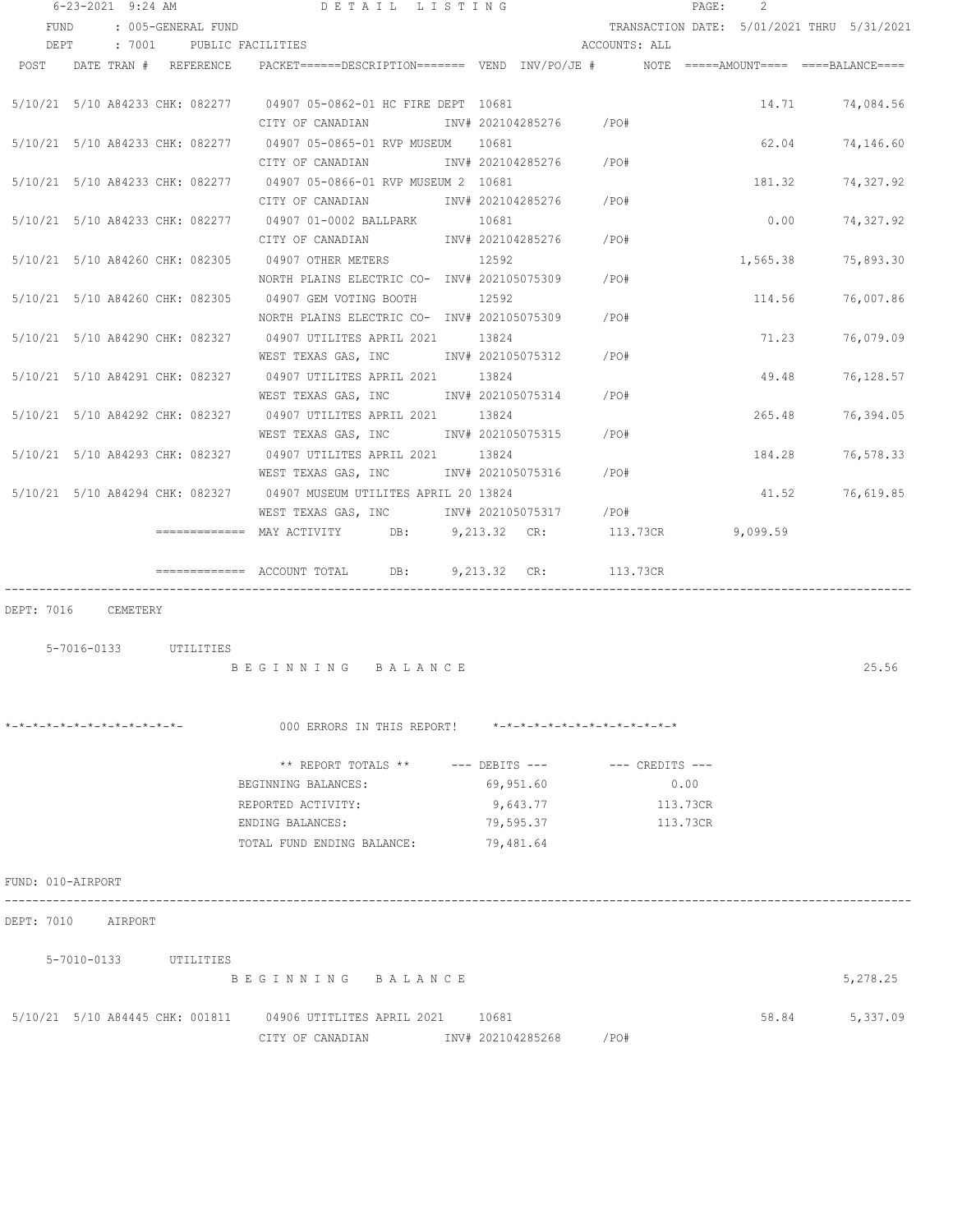|                              | $6 - 23 - 2021$ 9:24 AM |                       | DETAIL LISTING                                                                                                                                                             |                                              |                       |               |                         | PAGE:                | $\overline{2}$ |                                            |
|------------------------------|-------------------------|-----------------------|----------------------------------------------------------------------------------------------------------------------------------------------------------------------------|----------------------------------------------|-----------------------|---------------|-------------------------|----------------------|----------------|--------------------------------------------|
| FUND                         |                         | : 005-GENERAL FUND    |                                                                                                                                                                            |                                              |                       |               |                         |                      |                | TRANSACTION DATE: 5/01/2021 THRU 5/31/2021 |
|                              |                         |                       | DEPT : 7001 PUBLIC FACILITIES                                                                                                                                              |                                              |                       | ACCOUNTS: ALL |                         |                      |                |                                            |
|                              |                         |                       | POST DATE TRAN # REFERENCE PACKET======DESCRIPTION======= VEND INV/PO/JE # NOTE =====AMOUNT==== ===BALANCE====                                                             |                                              |                       |               |                         |                      |                |                                            |
|                              |                         |                       | 5/10/21 5/10 A84233 CHK: 082277 04907 05-0862-01 HC FIRE DEPT 10681<br>CITY OF CANADIAN 1NV# 202104285276 / PO#                                                            |                                              |                       |               |                         |                      |                | 14.71 74,084.56                            |
|                              |                         |                       | 5/10/21 5/10 A84233 CHK: 082277 04907 05-0865-01 RVP MUSEUM 10681<br>CITY OF CANADIAN 1NV# 202104285276 / PO#                                                              |                                              |                       |               |                         |                      |                | 62.04 74,146.60                            |
|                              |                         |                       | 5/10/21 5/10 A84233 CHK: 082277 04907 05-0866-01 RVP MUSEUM 2 10681<br>CITY OF CANADIAN 1NV# 202104285276 / PO#                                                            |                                              |                       |               |                         |                      | 181.32         | 74,327.92                                  |
|                              |                         |                       | 5/10/21 5/10 A84233 CHK: 082277 04907 01-0002 BALLPARK 10681<br>CITY OF CANADIAN 1NV# 202104285276 / PO#                                                                   |                                              |                       |               |                         |                      | 0.00           | 74,327.92                                  |
|                              |                         |                       | 5/10/21 5/10 A84260 CHK: 082305 04907 OTHER METERS 12592<br>NORTH PLAINS ELECTRIC CO- INV# 202105075309 / PO#                                                              |                                              |                       |               |                         |                      | 1,565.38       | 75,893.30                                  |
|                              |                         |                       | 5/10/21 5/10 A84260 CHK: 082305 04907 GEM VOTING BOOTH 12592<br>NORTH PLAINS ELECTRIC CO- INV# 202105075309 / PO#                                                          |                                              |                       |               |                         |                      |                | 114.56 76,007.86                           |
|                              |                         |                       | 5/10/21 5/10 A84290 CHK: 082327 04907 UTILITES APRIL 2021 13824<br>WEST TEXAS GAS, INC 1NV# 202105075312 / PO#                                                             |                                              |                       |               |                         |                      |                | 71.23 76,079.09                            |
|                              |                         |                       | 5/10/21 5/10 A84291 CHK: 082327 04907 UTILITES APRIL 2021 13824<br>WEST TEXAS GAS, INC        INV# 202105075314      /PO#                                                  |                                              |                       |               |                         |                      |                | 49.48 76,128.57                            |
|                              |                         |                       | 5/10/21 5/10 A84292 CHK: 082327 04907 UTILITES APRIL 2021 13824                                                                                                            |                                              |                       |               |                         |                      |                | 265.48 76,394.05                           |
|                              |                         |                       | 5/10/21 5/10 A84293 CHK: 082327 04907 UTILITES APRIL 2021 13824<br>WEST TEXAS GAS, INC     INV# 202105075316   /PO#                                                        |                                              |                       |               |                         |                      |                | 184.28 76,578.33                           |
|                              |                         |                       | 5/10/21 5/10 A84294 CHK: 082327 04907 MUSEUM UTILITES APRIL 20 13824<br>WEST TEXAS GAS, INC MW# 202105075317 / PO#<br>============= MAY ACTIVITY DB: 9,213.32 CR: 113.73CR |                                              |                       |               |                         |                      | 9,099.59       | 41.52 76,619.85                            |
|                              |                         |                       | $=$ ============ ACCOUNT TOTAL DB: $9,213.32$ CR: 113.73CR                                                                                                                 |                                              |                       |               |                         |                      |                |                                            |
| DEPT: 7016 CEMETERY          |                         | 5-7016-0133 UTILITIES | BEGINNING BALANCE                                                                                                                                                          |                                              |                       |               |                         |                      |                | 25.56                                      |
| *-*-*-*-*-*-*-*-*-*-*-*-*-*- |                         |                       | 000 ERRORS IN THIS REPORT! *-*-*-*-*-*-*-*-*-*-*-*-*-*-                                                                                                                    |                                              |                       |               |                         |                      |                |                                            |
|                              |                         |                       | ** REPORT TOTALS **<br>BEGINNING BALANCES:<br>REPORTED ACTIVITY:<br>ENDING BALANCES:<br>TOTAL FUND ENDING BALANCE:                                                         | $---$ DEBITS $---$<br>79,595.37<br>79,481.64 | 69,951.60<br>9,643.77 |               | --- CREDITS ---<br>0.00 | 113.73CR<br>113.73CR |                |                                            |
| FUND: 010-AIRPORT            |                         |                       |                                                                                                                                                                            |                                              |                       |               |                         |                      |                |                                            |
| DEPT: 7010 AIRPORT           |                         |                       |                                                                                                                                                                            |                                              |                       |               |                         |                      |                |                                            |
|                              | 5-7010-0133 UTILITIES   |                       | BEGINNING BALANCE                                                                                                                                                          |                                              |                       |               |                         |                      |                | 5,278.25                                   |
|                              |                         |                       | 5/10/21 5/10 A84445 CHK: 001811 04906 UTITLITES APRIL 2021 10681<br>CITY OF CANADIAN                                                                                       |                                              | INV# 202104285268     | /PO#          |                         |                      | 58.84          | 5,337.09                                   |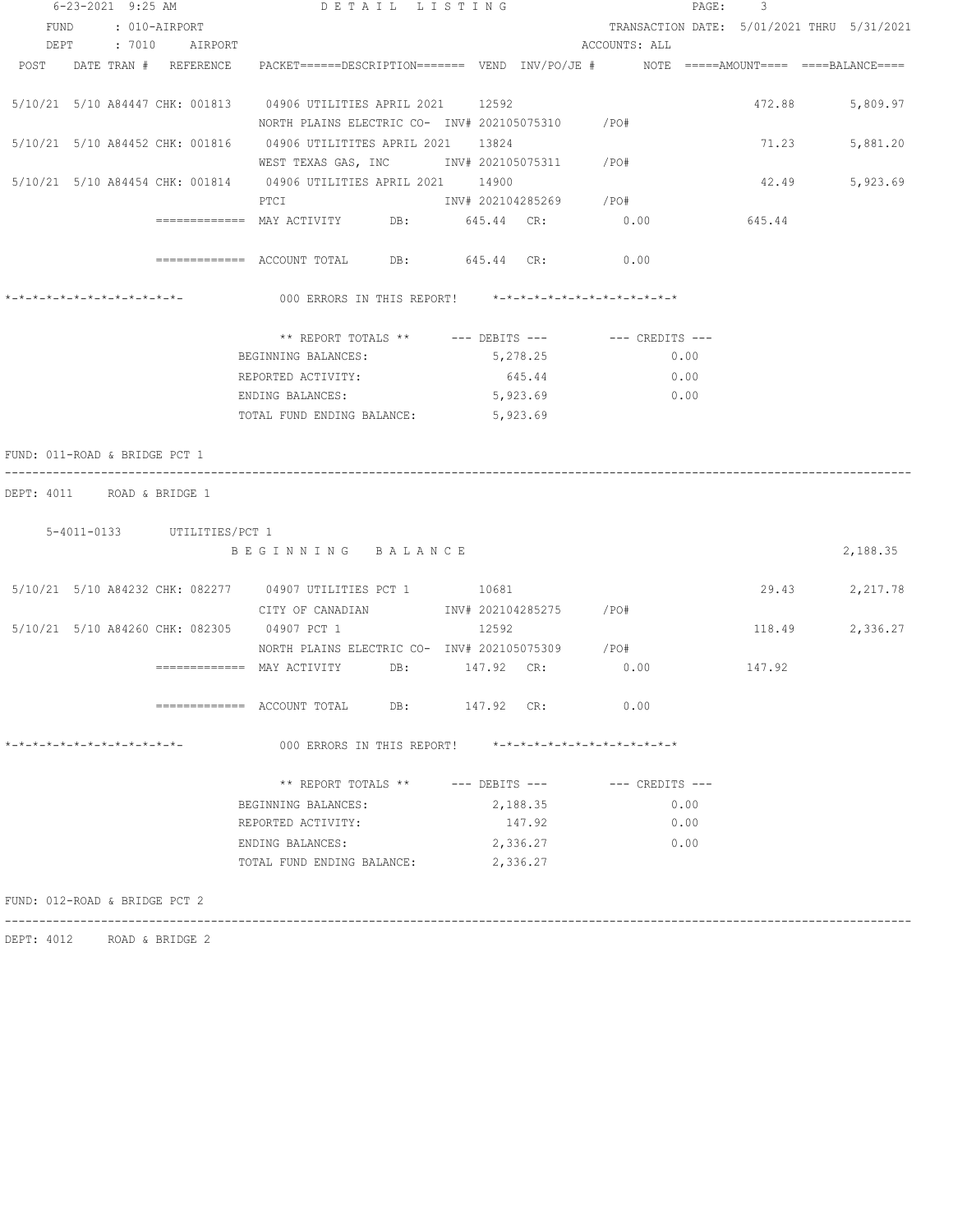|                               | 6-23-2021 9:25 AM  |                             |                                                                                                                | DETAIL LISTING |          |          |                         |                     | $\mathtt{PAGE}$ :<br>$\overline{\phantom{a}}$ |                 |
|-------------------------------|--------------------|-----------------------------|----------------------------------------------------------------------------------------------------------------|----------------|----------|----------|-------------------------|---------------------|-----------------------------------------------|-----------------|
|                               | FUND : 010-AIRPORT |                             |                                                                                                                |                |          |          |                         |                     | TRANSACTION DATE: 5/01/2021 THRU 5/31/2021    |                 |
|                               |                    | DEPT : 7010 AIRPORT         |                                                                                                                |                |          |          | ACCOUNTS: ALL           |                     |                                               |                 |
|                               |                    |                             | POST DATE TRAN # REFERENCE PACKET=====DESCRIPTION======= VEND INV/PO/JE # NOTE =====AMOUNT==== ====BALANCE==== |                |          |          |                         |                     |                                               |                 |
|                               |                    |                             | 5/10/21 5/10 A84447 CHK: 001813 04906 UTILITIES APRIL 2021 12592                                               |                |          |          |                         |                     | 472.88                                        | 5,809.97        |
|                               |                    |                             | NORTH PLAINS ELECTRIC CO- $\,$ INV# 202105075310 $\,$ /PO#                                                     |                |          |          |                         |                     |                                               |                 |
|                               |                    |                             |                                                                                                                |                |          |          |                         |                     | 71.23                                         | 5,881.20        |
|                               |                    |                             | WEST TEXAS GAS, INC MONTH 202105075311 / PO#                                                                   |                |          |          |                         |                     |                                               |                 |
|                               |                    |                             | 5/10/21 5/10 A84454 CHK: 001814 04906 UTILITIES APRIL 2021 14900                                               |                |          |          |                         |                     | 42.49                                         | 5,923.69        |
|                               |                    |                             | PTCT                                                                                                           |                |          |          | INV# 202104285269 / PO# |                     |                                               |                 |
|                               |                    |                             | ============= MAY ACTIVITY DB: 645.44 CR: 0.00                                                                 |                |          |          |                         |                     | 645.44                                        |                 |
|                               |                    |                             | ============= ACCOUNT TOTAL DB: 645.44 CR: 0.00                                                                |                |          |          |                         |                     |                                               |                 |
| *-*-*-*-*-*-*-*-*-*-*-*-*-    |                    |                             | 000 ERRORS IN THIS REPORT! *-*-*-*-*-*-*-*-*-*-*-*-*-*-                                                        |                |          |          |                         |                     |                                               |                 |
|                               |                    |                             | ** REPORT TOTALS ** --- DEBITS --- -- -- CREDITS ---                                                           |                |          |          |                         |                     |                                               |                 |
|                               |                    |                             | BEGINNING BALANCES:                                                                                            |                |          | 5,278.25 |                         | 0.00                |                                               |                 |
|                               |                    |                             | REPORTED ACTIVITY:                                                                                             |                |          | 645.44   |                         | 0.00                |                                               |                 |
|                               |                    |                             | ENDING BALANCES:                                                                                               |                |          | 5,923.69 |                         | 0.00                |                                               |                 |
|                               |                    |                             | TOTAL FUND ENDING BALANCE:                                                                                     |                | 5,923.69 |          |                         |                     |                                               |                 |
|                               |                    |                             |                                                                                                                |                |          |          |                         |                     |                                               |                 |
| FUND: 011-ROAD & BRIDGE PCT 1 |                    |                             |                                                                                                                |                |          |          |                         |                     |                                               |                 |
| DEPT: 4011 ROAD & BRIDGE 1    |                    |                             |                                                                                                                |                |          |          |                         |                     |                                               |                 |
|                               |                    | 5-4011-0133 UTILITIES/PCT 1 |                                                                                                                |                |          |          |                         |                     |                                               |                 |
|                               |                    |                             | BEGINNING BALANCE                                                                                              |                |          |          |                         |                     |                                               | 2,188.35        |
|                               |                    |                             |                                                                                                                |                |          |          |                         |                     |                                               |                 |
|                               |                    |                             | 5/10/21 5/10 A84232 CHK: 082277 04907 UTILITIES PCT 1 10681                                                    |                |          |          |                         |                     |                                               | 29.43 2,217.78  |
|                               |                    |                             | 5/10/21 5/10 A84260 CHK: 082305 04907 PCT 1                                                                    |                | 12592    |          |                         |                     |                                               | 118.49 2,336.27 |
|                               |                    |                             | NORTH PLAINS ELECTRIC CO- INV# 202105075309 / PO#                                                              |                |          |          |                         |                     |                                               |                 |
|                               |                    |                             | ============= MAY ACTIVITY DB: 147.92 CR:                                                                      |                |          |          | 0.00                    |                     | 147.92                                        |                 |
|                               |                    |                             |                                                                                                                |                |          |          |                         |                     |                                               |                 |
|                               |                    |                             | ============ ACCOUNT TOTAL DB: 147.92 CR: 0.00                                                                 |                |          |          |                         |                     |                                               |                 |
| *-*-*-*-*-*-*-*-*-*-*-*-*-*-  |                    |                             | 000 ERRORS IN THIS REPORT! *-*-*-*-*-*-*-*-*-*-*-*-*-*-                                                        |                |          |          |                         |                     |                                               |                 |
|                               |                    |                             | ** REPORT TOTALS ** --- DEBITS ---                                                                             |                |          |          |                         | $---$ CREDITS $---$ |                                               |                 |
|                               |                    |                             | BEGINNING BALANCES:                                                                                            |                |          | 2,188.35 |                         | 0.00                |                                               |                 |
|                               |                    |                             | REPORTED ACTIVITY:                                                                                             |                |          | 147.92   |                         | 0.00                |                                               |                 |
|                               |                    |                             | ENDING BALANCES:                                                                                               |                |          | 2,336.27 |                         | 0.00                |                                               |                 |
|                               |                    |                             |                                                                                                                |                |          |          |                         |                     |                                               |                 |
|                               |                    |                             | TOTAL FUND ENDING BALANCE:                                                                                     |                |          | 2,336.27 |                         |                     |                                               |                 |

------------------------------------------------------------------------------------------------------------------------------------

DEPT: 4012 ROAD & BRIDGE 2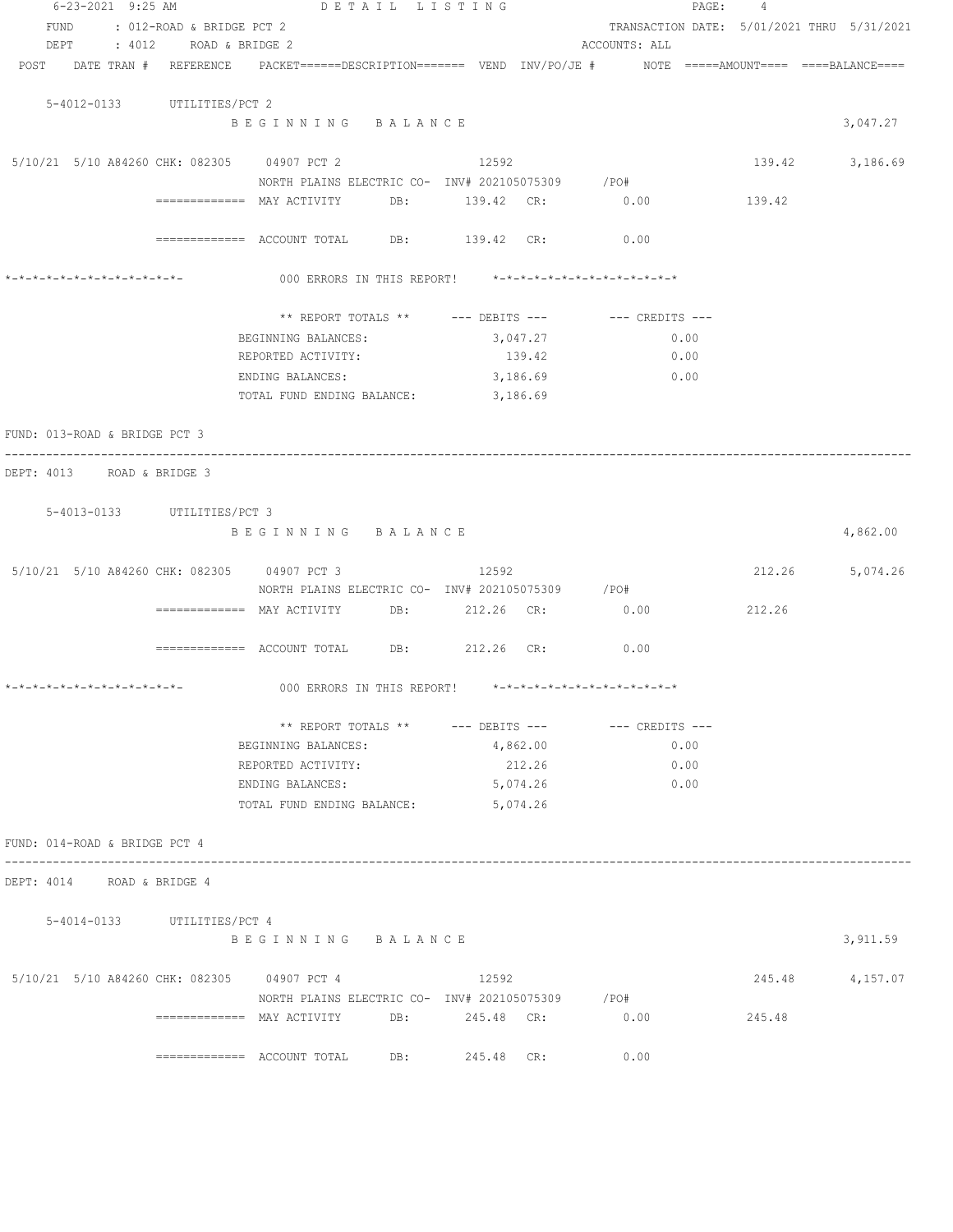| 6-23-2021 9:25 AM                           | DETAIL LISTING                                                                                                  |                                                         |                 | PAGE:<br>4                                 |                 |
|---------------------------------------------|-----------------------------------------------------------------------------------------------------------------|---------------------------------------------------------|-----------------|--------------------------------------------|-----------------|
| : 012-ROAD & BRIDGE PCT 2<br>FUND           |                                                                                                                 |                                                         |                 | TRANSACTION DATE: 5/01/2021 THRU 5/31/2021 |                 |
| DEPT<br>: 4012 ROAD & BRIDGE 2              |                                                                                                                 |                                                         | ACCOUNTS: ALL   |                                            |                 |
|                                             | POST DATE TRAN # REFERENCE PACKET======DESCRIPTION======= VEND INV/PO/JE # NOTE =====AMOUNT==== ====BALANCE==== |                                                         |                 |                                            |                 |
| 5-4012-0133 UTILITIES/PCT 2                 |                                                                                                                 |                                                         |                 |                                            |                 |
|                                             | BEGINNING BALANCE                                                                                               |                                                         |                 |                                            | 3,047.27        |
| 5/10/21 5/10 A84260 CHK: 082305 04907 PCT 2 |                                                                                                                 | 12592                                                   |                 |                                            | 139.42 3,186.69 |
|                                             | NORTH PLAINS ELECTRIC CO- $1\text{NV}$ # 202105075309 /PO#                                                      |                                                         |                 |                                            |                 |
|                                             |                                                                                                                 | DB: 139.42 CR: 0.00                                     |                 | 139.42                                     |                 |
|                                             | ============= ACCOUNT TOTAL DB: 139.42 CR: 0.00                                                                 |                                                         |                 |                                            |                 |
|                                             |                                                                                                                 | 000 ERRORS IN THIS REPORT! *-*-*-*-*-*-*-*-*-*-*-*-*-*- |                 |                                            |                 |
|                                             |                                                                                                                 |                                                         |                 |                                            |                 |
|                                             |                                                                                                                 | ** REPORT TOTALS ** --- DEBITS ---                      | --- CREDITS --- |                                            |                 |
|                                             | BEGINNING BALANCES:<br>REPORTED ACTIVITY:                                                                       | 3,047.27<br>139.42                                      | 0.00<br>0.00    |                                            |                 |
|                                             | ENDING BALANCES:                                                                                                | 3,186.69                                                | 0.00            |                                            |                 |
|                                             | TOTAL FUND ENDING BALANCE: 3,186.69                                                                             |                                                         |                 |                                            |                 |
|                                             |                                                                                                                 |                                                         |                 |                                            |                 |
| FUND: 013-ROAD & BRIDGE PCT 3               |                                                                                                                 |                                                         |                 |                                            |                 |
| DEPT: 4013 ROAD & BRIDGE 3                  |                                                                                                                 |                                                         |                 |                                            |                 |
|                                             |                                                                                                                 |                                                         |                 |                                            |                 |
| 5-4013-0133 UTILITIES/PCT 3                 |                                                                                                                 |                                                         |                 |                                            |                 |
|                                             | BEGINNING BALANCE                                                                                               |                                                         |                 |                                            | 4,862.00        |
| 5/10/21 5/10 A84260 CHK: 082305 04907 PCT 3 |                                                                                                                 | 12592                                                   |                 |                                            | 212.26 5,074.26 |
|                                             |                                                                                                                 | NORTH PLAINS ELECTRIC CO- INV# 202105075309 / PO#       |                 |                                            |                 |
|                                             | ============ MAY ACTIVITY DB: 212.26 CR: 0.00                                                                   |                                                         |                 | 212.26                                     |                 |
|                                             |                                                                                                                 |                                                         |                 |                                            |                 |
|                                             | ============ ACCOUNT TOTAL DB: 212.26 CR:                                                                       |                                                         | 0.00            |                                            |                 |
| *_*_*_*_*_*_*_*_*_*_*_*_*_*_*_              | 000 ERRORS IN THIS REPORT! *-*-*-*-*-*-*-*-*-*-*-*-*-*-                                                         |                                                         |                 |                                            |                 |
|                                             |                                                                                                                 |                                                         |                 |                                            |                 |
|                                             |                                                                                                                 | ** REPORT TOTALS ** --- DEBITS --- -- -- CREDITS ---    |                 |                                            |                 |
|                                             | BEGINNING BALANCES:                                                                                             | 4,862.00                                                | 0.00            |                                            |                 |
|                                             | REPORTED ACTIVITY:                                                                                              | 212.26                                                  | 0.00            |                                            |                 |
|                                             | ENDING BALANCES:                                                                                                | 5,074.26                                                | 0.00            |                                            |                 |
|                                             | TOTAL FUND ENDING BALANCE:                                                                                      | 5,074.26                                                |                 |                                            |                 |
| FUND: 014-ROAD & BRIDGE PCT 4               |                                                                                                                 |                                                         |                 |                                            |                 |
| DEPT: 4014 ROAD & BRIDGE 4                  |                                                                                                                 |                                                         |                 |                                            |                 |
|                                             |                                                                                                                 |                                                         |                 |                                            |                 |
| 5-4014-0133 UTILITIES/PCT 4                 | BEGINNING BALANCE                                                                                               |                                                         |                 |                                            | 3,911.59        |
|                                             |                                                                                                                 |                                                         |                 |                                            |                 |
| 5/10/21 5/10 A84260 CHK: 082305 04907 PCT 4 |                                                                                                                 | 12592                                                   |                 | 245.48                                     | 4,157.07        |
|                                             |                                                                                                                 | NORTH PLAINS ELECTRIC CO- INV# 202105075309 / PO#       |                 |                                            |                 |
|                                             |                                                                                                                 |                                                         | 0.00            | 245.48                                     |                 |
|                                             | ============= ACCOUNT TOTAL DB: 245.48 CR:                                                                      |                                                         | 0.00            |                                            |                 |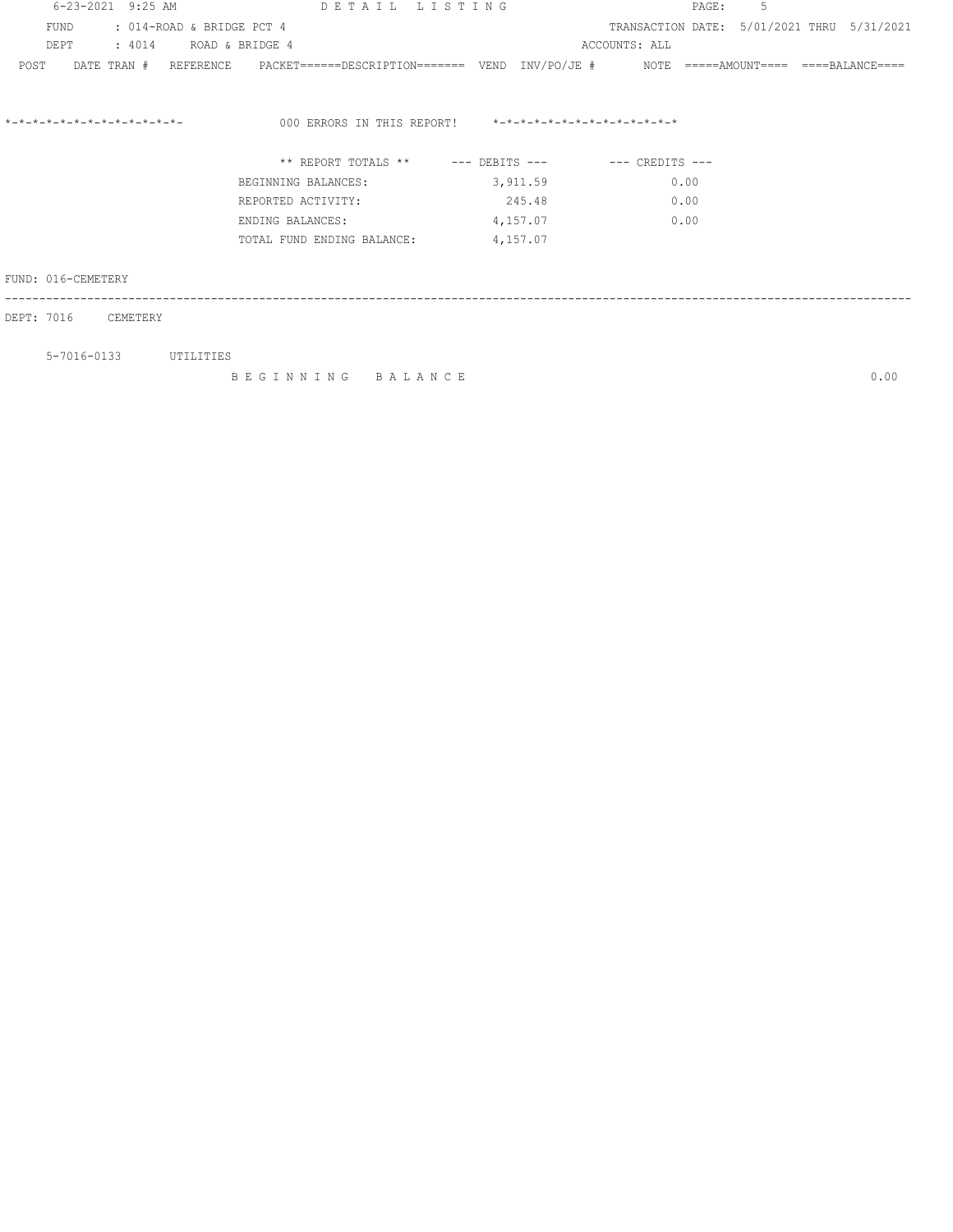| 6-23-2021 9:25 AM                                 | DETAIL LISTING                                                                                             |                                                         | 5<br>PAGE :                                |      |
|---------------------------------------------------|------------------------------------------------------------------------------------------------------------|---------------------------------------------------------|--------------------------------------------|------|
| FUND<br>: 014-ROAD & BRIDGE PCT 4                 |                                                                                                            |                                                         | TRANSACTION DATE: 5/01/2021 THRU 5/31/2021 |      |
| : 4014 ROAD & BRIDGE 4<br>DEPT                    |                                                                                                            |                                                         | ACCOUNTS: ALL                              |      |
| POST                                              | DATE TRAN # REFERENCE PACKET======DESCRIPTION======= VEND INV/PO/JE # NOTE =====AMOUNT==== ====BALANCE==== |                                                         |                                            |      |
| $* - * - * - * - * - * - * - * - * - * - * - * -$ |                                                                                                            | 000 ERRORS IN THIS REPORT! *-*-*-*-*-*-*-*-*-*-*-*-*-*- |                                            |      |
|                                                   |                                                                                                            | ** REPORT TOTALS ** --- DEBITS --- -- -- CREDITS ---    |                                            |      |
|                                                   | BEGINNING BALANCES:                                                                                        | 3,911.59                                                | 0.00                                       |      |
|                                                   | REPORTED ACTIVITY:                                                                                         | 245.48                                                  | 0.00                                       |      |
|                                                   | ENDING BALANCES:                                                                                           | 4,157.07                                                | 0.00                                       |      |
|                                                   | TOTAL FUND ENDING BALANCE:                                                                                 | 4,157.07                                                |                                            |      |
| FUND: 016-CEMETERY                                |                                                                                                            |                                                         |                                            |      |
| DEPT: 7016<br>CEMETERY                            |                                                                                                            |                                                         |                                            |      |
| 5-7016-0133 UTILITIES                             |                                                                                                            |                                                         |                                            |      |
|                                                   | BEGINNING BALANCE                                                                                          |                                                         |                                            | 0.00 |